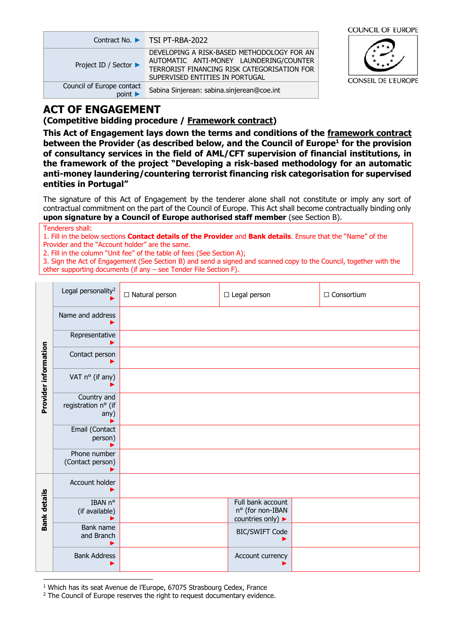|                                                     | Contract No. ▶ TSI PT-RBA-2022                                                                                                                                          |  |
|-----------------------------------------------------|-------------------------------------------------------------------------------------------------------------------------------------------------------------------------|--|
| Project ID / Sector ▶                               | DEVELOPING A RISK-BASED METHODOLOGY FOR AN<br>AUTOMATIC ANTI-MONEY LAUNDERING/COUNTER<br>TERRORIST FINANCING RISK CATEGORISATION FOR<br>SUPERVISED ENTITIES IN PORTUGAL |  |
| Council of Europe contact<br>$point \triangleright$ | Sabina Sinjerean: sabina.sinjerean@coe.int                                                                                                                              |  |



# **ACT OF ENGAGEMENT**

**(Competitive bidding procedure / Framework contract)**

**This Act of Engagement lays down the terms and conditions of the framework contract between the Provider (as described below, and the Council of Europe<sup>1</sup> for the provision of consultancy services in the field of AML/CFT supervision of financial institutions, in the framework of the project "Developing a risk-based methodology for an automatic anti-money laundering/countering terrorist financing risk categorisation for supervised entities in Portugal"**

The signature of this Act of Engagement by the tenderer alone shall not constitute or imply any sort of contractual commitment on the part of the Council of Europe. This Act shall become contractually binding only **upon signature by a Council of Europe authorised staff member** (see Section B).

Tenderers shall:

1. Fill in the below sections **Contact details of the Provider** and **Bank details**. Ensure that the "Name" of the Provider and the "Account holder" are the same.

2. Fill in the column "Unit fee" of the table of fees (See Section A);

3. Sign the Act of Engagement (See Section B) and send a signed and scanned copy to the Council, together with the other supporting documents (if any – see Tender File Section F).

|                      | Legal personality <sup>2</sup>             | □ Natural person | $\Box$ Legal person                                        | $\Box$ Consortium |
|----------------------|--------------------------------------------|------------------|------------------------------------------------------------|-------------------|
|                      | Name and address                           |                  |                                                            |                   |
|                      | Representative                             |                  |                                                            |                   |
| Provider information | Contact person                             |                  |                                                            |                   |
|                      | VAT n° (if any)                            |                  |                                                            |                   |
|                      | Country and<br>registration nº (if<br>any) |                  |                                                            |                   |
|                      | Email (Contact<br>person)                  |                  |                                                            |                   |
|                      | Phone number<br>(Contact person)           |                  |                                                            |                   |
|                      | Account holder                             |                  |                                                            |                   |
| <b>Bank details</b>  | IBAN nº<br>(if available)                  |                  | Full bank account<br>nº (for non-IBAN<br>countries only) ▶ |                   |
|                      | Bank name<br>and Branch                    |                  | <b>BIC/SWIFT Code</b>                                      |                   |
|                      | <b>Bank Address</b>                        |                  | Account currency                                           |                   |

<sup>1</sup> Which has its seat Avenue de l'Europe, 67075 Strasbourg Cedex, France

<sup>2</sup> The Council of Europe reserves the right to request documentary evidence.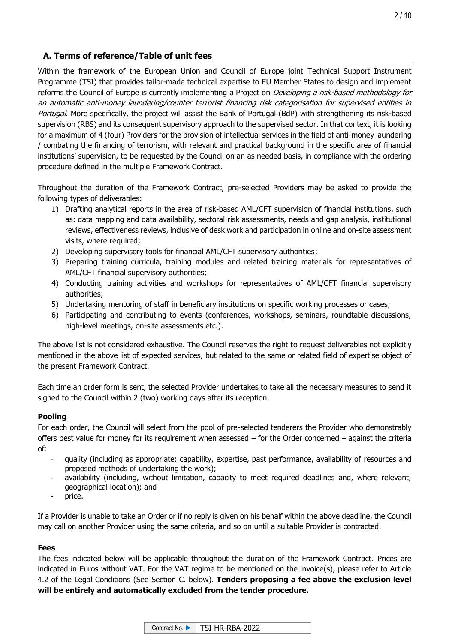# **A. Terms of reference/Table of unit fees**

Within the framework of the European Union and Council of Europe joint Technical Support Instrument Programme (TSI) that provides tailor-made technical expertise to EU Member States to design and implement reforms the Council of Europe is currently implementing a Project on *Developing a risk-based methodology for* an automatic anti-money laundering/counter terrorist financing risk categorisation for supervised entities in Portugal. More specifically, the project will assist the Bank of Portugal (BdP) with strengthening its risk-based supervision (RBS) and its consequent supervisory approach to the supervised sector. In that context, it is looking for a maximum of 4 (four) Providers for the provision of intellectual services in the field of anti-money laundering / combating the financing of terrorism, with relevant and practical background in the specific area of financial institutions' supervision, to be requested by the Council on an as needed basis, in compliance with the ordering procedure defined in the multiple Framework Contract.

Throughout the duration of the Framework Contract, pre-selected Providers may be asked to provide the following types of deliverables:

- 1) Drafting analytical reports in the area of risk-based AML/CFT supervision of financial institutions, such as: data mapping and data availability, sectoral risk assessments, needs and gap analysis, institutional reviews, effectiveness reviews, inclusive of desk work and participation in online and on-site assessment visits, where required;
- 2) Developing supervisory tools for financial AML/CFT supervisory authorities;
- 3) Preparing training curricula, training modules and related training materials for representatives of AML/CFT financial supervisory authorities;
- 4) Conducting training activities and workshops for representatives of AML/CFT financial supervisory authorities;
- 5) Undertaking mentoring of staff in beneficiary institutions on specific working processes or cases;
- 6) Participating and contributing to events (conferences, workshops, seminars, roundtable discussions, high-level meetings, on-site assessments etc.).

The above list is not considered exhaustive. The Council reserves the right to request deliverables not explicitly mentioned in the above list of expected services, but related to the same or related field of expertise object of the present Framework Contract.

Each time an order form is sent, the selected Provider undertakes to take all the necessary measures to send it signed to the Council within 2 (two) working days after its reception.

## **Pooling**

For each order, the Council will select from the pool of pre-selected tenderers the Provider who demonstrably offers best value for money for its requirement when assessed – for the Order concerned – against the criteria of:

- quality (including as appropriate: capability, expertise, past performance, availability of resources and proposed methods of undertaking the work);
- availability (including, without limitation, capacity to meet required deadlines and, where relevant, geographical location); and
- price.

If a Provider is unable to take an Order or if no reply is given on his behalf within the above deadline, the Council may call on another Provider using the same criteria, and so on until a suitable Provider is contracted.

## **Fees**

The fees indicated below will be applicable throughout the duration of the Framework Contract. Prices are indicated in Euros without VAT. For the VAT regime to be mentioned on the invoice(s), please refer to Article 4.2 of the Legal Conditions (See Section C. below). **Tenders proposing a fee above the exclusion level will be entirely and automatically excluded from the tender procedure.**

| Contract No. $\blacktriangleright$ | TSI HR-RBA-2022 |
|------------------------------------|-----------------|
|------------------------------------|-----------------|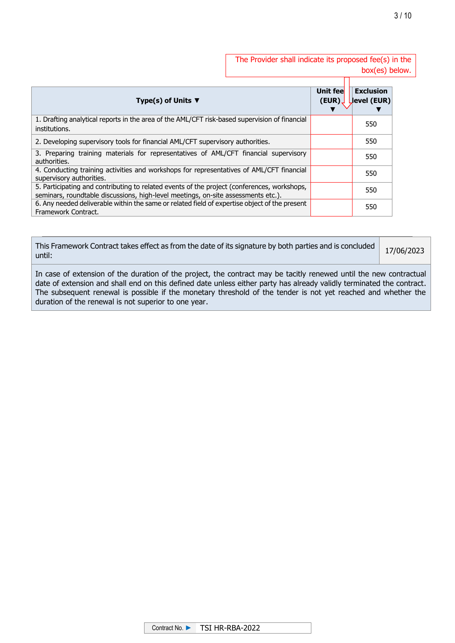The Provider shall indicate its proposed fee(s) in the box(es) below.

| Type(s) of Units $\Psi$                                                                                                                                                          | Unit fee<br>(EUR) | <b>Exclusion</b><br>Jevel (EUR) |
|----------------------------------------------------------------------------------------------------------------------------------------------------------------------------------|-------------------|---------------------------------|
| 1. Drafting analytical reports in the area of the AML/CFT risk-based supervision of financial<br>institutions.                                                                   |                   | 550                             |
| 2. Developing supervisory tools for financial AML/CFT supervisory authorities.                                                                                                   |                   | 550                             |
| 3. Preparing training materials for representatives of AML/CFT financial supervisory<br>authorities.                                                                             |                   | 550                             |
| 4. Conducting training activities and workshops for representatives of AML/CFT financial<br>supervisory authorities.                                                             |                   | 550                             |
| 5. Participating and contributing to related events of the project (conferences, workshops,<br>seminars, roundtable discussions, high-level meetings, on-site assessments etc.). |                   | 550                             |
| 6. Any needed deliverable within the same or related field of expertise object of the present<br>Framework Contract.                                                             |                   | 550                             |

| This Framework Contract takes effect as from the date of its signature by both parties and is concluded<br>until: | 17/06/2023 |
|-------------------------------------------------------------------------------------------------------------------|------------|
|-------------------------------------------------------------------------------------------------------------------|------------|

In case of extension of the duration of the project, the contract may be tacitly renewed until the new contractual date of extension and shall end on this defined date unless either party has already validly terminated the contract. The subsequent renewal is possible if the monetary threshold of the tender is not yet reached and whether the duration of the renewal is not superior to one year.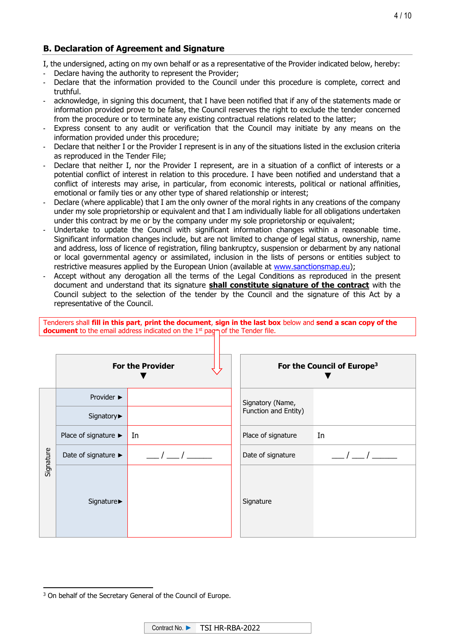# **B. Declaration of Agreement and Signature**

I, the undersigned, acting on my own behalf or as a representative of the Provider indicated below, hereby:

- Declare having the authority to represent the Provider;
- Declare that the information provided to the Council under this procedure is complete, correct and truthful.
- acknowledge, in signing this document, that I have been notified that if any of the statements made or information provided prove to be false, the Council reserves the right to exclude the tender concerned from the procedure or to terminate any existing contractual relations related to the latter;
- Express consent to any audit or verification that the Council may initiate by any means on the information provided under this procedure;
- Declare that neither I or the Provider I represent is in any of the situations listed in the exclusion criteria as reproduced in the Tender File;
- Declare that neither I, nor the Provider I represent, are in a situation of a conflict of interests or a potential conflict of interest in relation to this procedure. I have been notified and understand that a conflict of interests may arise, in particular, from economic interests, political or national affinities, emotional or family ties or any other type of shared relationship or interest;
- Declare (where applicable) that I am the only owner of the moral rights in any creations of the company under my sole proprietorship or equivalent and that I am individually liable for all obligations undertaken under this contract by me or by the company under my sole proprietorship or equivalent;
- Undertake to update the Council with significant information changes within a reasonable time. Significant information changes include, but are not limited to change of legal status, ownership, name and address, loss of licence of registration, filing bankruptcy, suspension or debarment by any national or local governmental agency or assimilated, inclusion in the lists of persons or entities subject to restrictive measures applied by the European Union (available at [www.sanctionsmap.eu\)](http://www.sanctionsmap.eu/);
- Accept without any derogation all the terms of the Legal Conditions as reproduced in the present document and understand that its signature **shall constitute signature of the contract** with the Council subject to the selection of the tender by the Council and the signature of this Act by a representative of the Council.

Tenderers shall **fill in this part**, **print the document**, **sign in the last box** below and **send a scan copy of the**  document to the email address indicated on the 1<sup>st</sup> pagnof the Tender file.

|           | <b>For the Provider</b>                  |    | For the Council of Europe <sup>3</sup> |    |
|-----------|------------------------------------------|----|----------------------------------------|----|
| Signature | Provider $\blacktriangleright$           |    | Signatory (Name,                       |    |
|           | Signatory▶                               |    | Function and Entity)                   |    |
|           | Place of signature $\blacktriangleright$ | In | Place of signature                     | In |
|           | Date of signature ►                      |    | Date of signature                      |    |
|           | Signature▶                               |    | Signature                              |    |

<sup>&</sup>lt;sup>3</sup> On behalf of the Secretary General of the Council of Europe.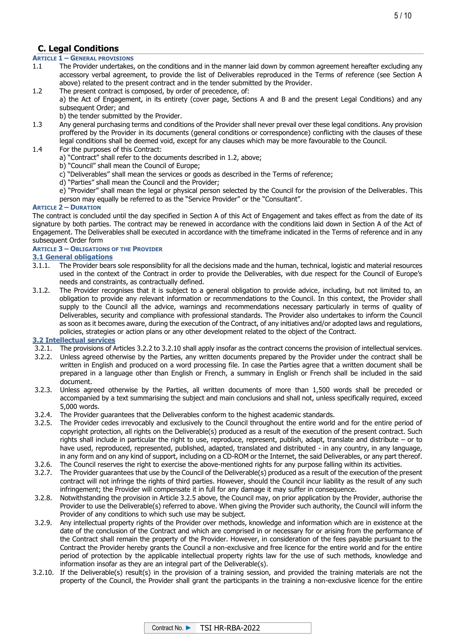# **C. Legal Conditions**

# **ARTICLE 1 – GENERAL PROVISIONS**

- The Provider undertakes, on the conditions and in the manner laid down by common agreement hereafter excluding any accessory verbal agreement, to provide the list of Deliverables reproduced in the Terms of reference (see Section A above) related to the present contract and in the tender submitted by the Provider.
- 1.2 The present contract is composed, by order of precedence, of:
- a) the Act of Engagement, in its entirety (cover page, Sections A and B and the present Legal Conditions) and any subsequent Order; and

b) the tender submitted by the Provider.

- 1.3 Any general purchasing terms and conditions of the Provider shall never prevail over these legal conditions. Any provision proffered by the Provider in its documents (general conditions or correspondence) conflicting with the clauses of these legal conditions shall be deemed void, except for any clauses which may be more favourable to the Council.
- 1.4 For the purposes of this Contract:
	- a) "Contract" shall refer to the documents described in 1.2, above;
	- b) "Council" shall mean the Council of Europe;
	- c) "Deliverables" shall mean the services or goods as described in the Terms of reference;
	- d) "Parties" shall mean the Council and the Provider;
	- e) "Provider" shall mean the legal or physical person selected by the Council for the provision of the Deliverables. This person may equally be referred to as the "Service Provider" or the "Consultant".

#### **ARTICLE 2 – DURATION**

The contract is concluded until the day specified in Section A of this Act of Engagement and takes effect as from the date of its signature by both parties. The contract may be renewed in accordance with the conditions laid down in Section A of the Act of Engagement. The Deliverables shall be executed in accordance with the timeframe indicated in the Terms of reference and in any subsequent Order form

#### **ARTICLE 3 – OBLIGATIONS OF THE PROVIDER**

#### **3.1 General obligations**

- 3.1.1. The Provider bears sole responsibility for all the decisions made and the human, technical, logistic and material resources used in the context of the Contract in order to provide the Deliverables, with due respect for the Council of Europe's needs and constraints, as contractually defined.
- 3.1.2. The Provider recognises that it is subject to a general obligation to provide advice, including, but not limited to, an obligation to provide any relevant information or recommendations to the Council. In this context, the Provider shall supply to the Council all the advice, warnings and recommendations necessary particularly in terms of quality of Deliverables, security and compliance with professional standards. The Provider also undertakes to inform the Council as soon as it becomes aware, during the execution of the Contract, of any initiatives and/or adopted laws and regulations, policies, strategies or action plans or any other development related to the object of the Contract.

#### **3.2 Intellectual services**

- 
- 3.2.1. The provisions of Articles 3.2.2 to 3.2.10 shall apply insofar as the contract concerns the provision of intellectual services.<br>3.2.2. Unless agreed otherwise by the Parties, any written documents prepared by the Pr Unless agreed otherwise by the Parties, any written documents prepared by the Provider under the contract shall be written in English and produced on a word processing file. In case the Parties agree that a written document shall be prepared in a language other than English or French, a summary in English or French shall be included in the said document.
- 3.2.3. Unless agreed otherwise by the Parties, all written documents of more than 1,500 words shall be preceded or accompanied by a text summarising the subject and main conclusions and shall not, unless specifically required, exceed 5,000 words.
- 3.2.4. The Provider guarantees that the Deliverables conform to the highest academic standards.
- 3.2.5. The Provider cedes irrevocably and exclusively to the Council throughout the entire world and for the entire period of copyright protection, all rights on the Deliverable(s) produced as a result of the execution of the present contract. Such rights shall include in particular the right to use, reproduce, represent, publish, adapt, translate and distribute – or to have used, reproduced, represented, published, adapted, translated and distributed - in any country, in any language, in any form and on any kind of support, including on a CD-ROM or the Internet, the said Deliverables, or any part thereof.
- 3.2.6. The Council reserves the right to exercise the above-mentioned rights for any purpose falling within its activities.
- 3.2.7. The Provider guarantees that use by the Council of the Deliverable(s) produced as a result of the execution of the present contract will not infringe the rights of third parties. However, should the Council incur liability as the result of any such infringement; the Provider will compensate it in full for any damage it may suffer in consequence.
- 3.2.8. Notwithstanding the provision in Article 3.2.5 above, the Council may, on prior application by the Provider, authorise the Provider to use the Deliverable(s) referred to above. When giving the Provider such authority, the Council will inform the Provider of any conditions to which such use may be subject.
- 3.2.9. Any intellectual property rights of the Provider over methods, knowledge and information which are in existence at the date of the conclusion of the Contract and which are comprised in or necessary for or arising from the performance of the Contract shall remain the property of the Provider. However, in consideration of the fees payable pursuant to the Contract the Provider hereby grants the Council a non-exclusive and free licence for the entire world and for the entire period of protection by the applicable intellectual property rights law for the use of such methods, knowledge and information insofar as they are an integral part of the Deliverable(s).
- 3.2.10. If the Deliverable(s) result(s) in the provision of a training session, and provided the training materials are not the property of the Council, the Provider shall grant the participants in the training a non-exclusive licence for the entire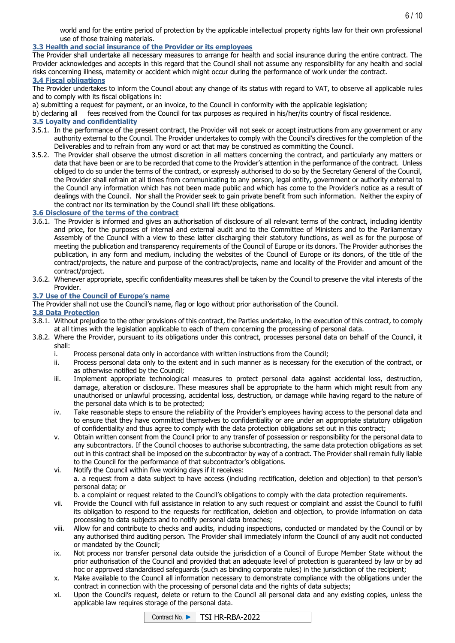world and for the entire period of protection by the applicable intellectual property rights law for their own professional use of those training materials.

6 / 10

## **3.3 Health and social insurance of the Provider or its employees**

The Provider shall undertake all necessary measures to arrange for health and social insurance during the entire contract. The Provider acknowledges and accepts in this regard that the Council shall not assume any responsibility for any health and social risks concerning illness, maternity or accident which might occur during the performance of work under the contract.

**3.4 Fiscal obligations**

The Provider undertakes to inform the Council about any change of its status with regard to VAT, to observe all applicable rules and to comply with its fiscal obligations in:

a) submitting a request for payment, or an invoice, to the Council in conformity with the applicable legislation;

b) declaring all fees received from the Council for tax purposes as required in his/her/its country of fiscal residence.

#### **3.5 Loyalty and confidentiality**

- 3.5.1. In the performance of the present contract, the Provider will not seek or accept instructions from any government or any authority external to the Council. The Provider undertakes to comply with the Council's directives for the completion of the Deliverables and to refrain from any word or act that may be construed as committing the Council.
- 3.5.2. The Provider shall observe the utmost discretion in all matters concerning the contract, and particularly any matters or data that have been or are to be recorded that come to the Provider's attention in the performance of the contract. Unless obliged to do so under the terms of the contract, or expressly authorised to do so by the Secretary General of the Council, the Provider shall refrain at all times from communicating to any person, legal entity, government or authority external to the Council any information which has not been made public and which has come to the Provider's notice as a result of dealings with the Council. Nor shall the Provider seek to gain private benefit from such information. Neither the expiry of the contract nor its termination by the Council shall lift these obligations.

#### **3.6 Disclosure of the terms of the contract**

- 3.6.1. The Provider is informed and gives an authorisation of disclosure of all relevant terms of the contract, including identity and price, for the purposes of internal and external audit and to the Committee of Ministers and to the Parliamentary Assembly of the Council with a view to these latter discharging their statutory functions, as well as for the purpose of meeting the publication and transparency requirements of the Council of Europe or its donors. The Provider authorises the publication, in any form and medium, including the websites of the Council of Europe or its donors, of the title of the contract/projects, the nature and purpose of the contract/projects, name and locality of the Provider and amount of the contract/project.
- 3.6.2. Whenever appropriate, specific confidentiality measures shall be taken by the Council to preserve the vital interests of the Provider.

### **3.7 Use of the Council of Europe's name**

The Provider shall not use the Council's name, flag or logo without prior authorisation of the Council.

#### **3.8 Data Protection**

- 3.8.1. Without prejudice to the other provisions of this contract, the Parties undertake, in the execution of this contract, to comply at all times with the legislation applicable to each of them concerning the processing of personal data.
- 3.8.2. Where the Provider, pursuant to its obligations under this contract, processes personal data on behalf of the Council, it shall:
	- i. Process personal data only in accordance with written instructions from the Council;
	- ii. Process personal data only to the extent and in such manner as is necessary for the execution of the contract, or as otherwise notified by the Council;
	- iii. Implement appropriate technological measures to protect personal data against accidental loss, destruction, damage, alteration or disclosure. These measures shall be appropriate to the harm which might result from any unauthorised or unlawful processing, accidental loss, destruction, or damage while having regard to the nature of the personal data which is to be protected;
	- iv. Take reasonable steps to ensure the reliability of the Provider's employees having access to the personal data and to ensure that they have committed themselves to confidentiality or are under an appropriate statutory obligation of confidentiality and thus agree to comply with the data protection obligations set out in this contract;
	- v. Obtain written consent from the Council prior to any transfer of possession or responsibility for the personal data to any subcontractors. If the Council chooses to authorise subcontracting, the same data protection obligations as set out in this contract shall be imposed on the subcontractor by way of a contract. The Provider shall remain fully liable to the Council for the performance of that subcontractor's obligations.
	- vi. Notify the Council within five working days if it receives: a. a request from a data subject to have access (including rectification, deletion and objection) to that person's personal data; or

b. a complaint or request related to the Council's obligations to comply with the data protection requirements.

- vii. Provide the Council with full assistance in relation to any such request or complaint and assist the Council to fulfil its obligation to respond to the requests for rectification, deletion and objection, to provide information on data processing to data subjects and to notify personal data breaches;
- viii. Allow for and contribute to checks and audits, including inspections, conducted or mandated by the Council or by any authorised third auditing person. The Provider shall immediately inform the Council of any audit not conducted or mandated by the Council;
- ix. Not process nor transfer personal data outside the jurisdiction of a Council of Europe Member State without the prior authorisation of the Council and provided that an adequate level of protection is guaranteed by law or by ad hoc or approved standardised safeguards (such as binding corporate rules) in the jurisdiction of the recipient;
- x. Make available to the Council all information necessary to demonstrate compliance with the obligations under the contract in connection with the processing of personal data and the rights of data subjects;
- xi. Upon the Council's request, delete or return to the Council all personal data and any existing copies, unless the applicable law requires storage of the personal data.

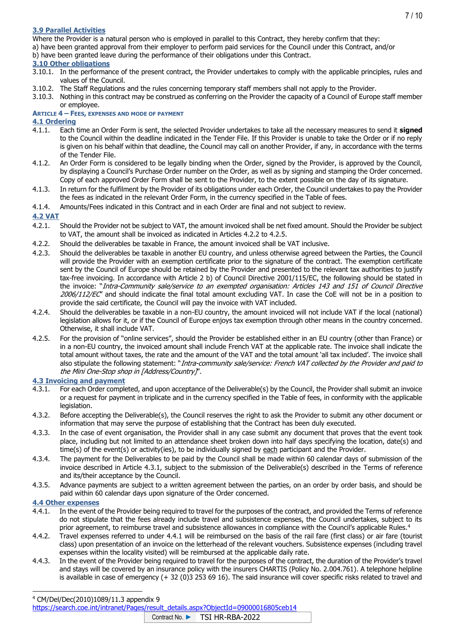## **3.9 Parallel Activities**

Where the Provider is a natural person who is employed in parallel to this Contract, they hereby confirm that they:

a) have been granted approval from their employer to perform paid services for the Council under this Contract, and/or

b) have been granted leave during the performance of their obligations under this Contract.

## **3.10 Other obligations**

- 3.10.1. In the performance of the present contract, the Provider undertakes to comply with the applicable principles, rules and values of the Council.
- 3.10.2. The Staff Regulations and the rules concerning temporary staff members shall not apply to the Provider.
- 3.10.3. Nothing in this contract may be construed as conferring on the Provider the capacity of a Council of Europe staff member or employee.

#### **ARTICLE 4 – FEES, EXPENSES AND MODE OF PAYMENT**

### **4.1 Ordering**

- 4.1.1. Each time an Order Form is sent, the selected Provider undertakes to take all the necessary measures to send it **signed** to the Council within the deadline indicated in the Tender File. If this Provider is unable to take the Order or if no reply is given on his behalf within that deadline, the Council may call on another Provider, if any, in accordance with the terms of the Tender File.
- 4.1.2. An Order Form is considered to be legally binding when the Order, signed by the Provider, is approved by the Council, by displaying a Council's Purchase Order number on the Order, as well as by signing and stamping the Order concerned. Copy of each approved Order Form shall be sent to the Provider, to the extent possible on the day of its signature.
- 4.1.3. In return for the fulfilment by the Provider of its obligations under each Order, the Council undertakes to pay the Provider the fees as indicated in the relevant Order Form, in the currency specified in the Table of fees.
- 4.1.4. Amounts/Fees indicated in this Contract and in each Order are final and not subject to review.

#### **4.2 VAT**

- 4.2.1. Should the Provider not be subject to VAT, the amount invoiced shall be net fixed amount. Should the Provider be subject to VAT, the amount shall be invoiced as indicated in Articles 4.2.2 to 4.2.5.
- 4.2.2. Should the deliverables be taxable in France, the amount invoiced shall be VAT inclusive.
- 4.2.3. Should the deliverables be taxable in another EU country, and unless otherwise agreed between the Parties, the Council will provide the Provider with an exemption certificate prior to the signature of the contract. The exemption certificate sent by the Council of Europe should be retained by the Provider and presented to the relevant tax authorities to justify tax-free invoicing. In accordance with Article 2 b) of Council Directive 2001/115/EC, the following should be stated in the invoice: "Intra-Community sale/service to an exempted organisation: Articles 143 and 151 of Council Directive 2006/112/EC" and should indicate the final total amount excluding VAT. In case the CoE will not be in a position to provide the said certificate, the Council will pay the invoice with VAT included.
- 4.2.4. Should the deliverables be taxable in a non-EU country, the amount invoiced will not include VAT if the local (national) legislation allows for it, or if the Council of Europe enjoys tax exemption through other means in the country concerned. Otherwise, it shall include VAT.
- 4.2.5. For the provision of "online services", should the Provider be established either in an EU country (other than France) or in a non-EU country, the invoiced amount shall include French VAT at the applicable rate. The invoice shall indicate the total amount without taxes, the rate and the amount of the VAT and the total amount 'all tax included'. The invoice shall also stipulate the following statement: "Intra-community sale/service: French VAT collected by the Provider and paid to the Mini One-Stop shop in [Address/Country]".

#### **4.3 Invoicing and payment**

- 4.3.1. For each Order completed, and upon acceptance of the Deliverable(s) by the Council, the Provider shall submit an invoice or a request for payment in triplicate and in the currency specified in the Table of fees, in conformity with the applicable legislation.
- 4.3.2. Before accepting the Deliverable(s), the Council reserves the right to ask the Provider to submit any other document or information that may serve the purpose of establishing that the Contract has been duly executed.
- 4.3.3. In the case of event organisation, the Provider shall in any case submit any document that proves that the event took place, including but not limited to an attendance sheet broken down into half days specifying the location, date(s) and time(s) of the event(s) or activity(ies), to be individually signed by each participant and the Provider.
- 4.3.4. The payment for the Deliverables to be paid by the Council shall be made within 60 calendar days of submission of the invoice described in Article 4.3.1, subject to the submission of the Deliverable(s) described in the Terms of reference and its/their acceptance by the Council.
- 4.3.5. Advance payments are subject to a written agreement between the parties, on an order by order basis, and should be paid within 60 calendar days upon signature of the Order concerned.

#### **4.4 Other expenses**

- 4.4.1. In the event of the Provider being required to travel for the purposes of the contract, and provided the Terms of reference do not stipulate that the fees already include travel and subsistence expenses, the Council undertakes, subject to its prior agreement, to reimburse travel and subsistence allowances in compliance with the Council's applicable Rules.<sup>4</sup>
- 4.4.2. Travel expenses referred to under 4.4.1 will be reimbursed on the basis of the rail fare (first class) or air fare (tourist class) upon presentation of an invoice on the letterhead of the relevant vouchers. Subsistence expenses (including travel expenses within the locality visited) will be reimbursed at the applicable daily rate.
- 4.4.3. In the event of the Provider being required to travel for the purposes of the contract, the duration of the Provider's travel and stays will be covered by an insurance policy with the insurers CHARTIS (Policy No. 2.004.761). A telephone helpline is available in case of emergency (+ 32 (0)3 253 69 16). The said insurance will cover specific risks related to travel and

<sup>4</sup> CM/Del/Dec(2010)1089/11.3 appendix 9

[https://search.coe.int/intranet/Pages/result\\_details.aspx?ObjectId=09000016805ceb14](https://search.coe.int/intranet/Pages/result_details.aspx?ObjectId=09000016805ceb14)

Contract No. ► TSI HR-RBA-2022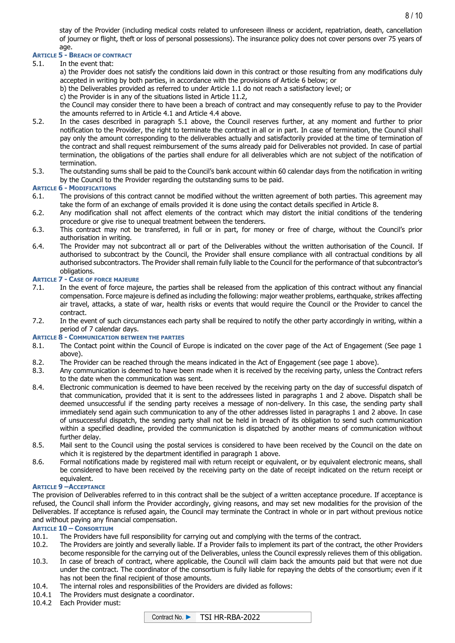stay of the Provider (including medical costs related to unforeseen illness or accident, repatriation, death, cancellation of journey or flight, theft or loss of personal possessions). The insurance policy does not cover persons over 75 years of age.

#### **ARTICLE 5 - BREACH OF CONTRACT**

5.1. In the event that:

a) the Provider does not satisfy the conditions laid down in this contract or those resulting from any modifications duly accepted in writing by both parties, in accordance with the provisions of Article 6 below; or

b) the Deliverables provided as referred to under Article 1.1 do not reach a satisfactory level; or

c) the Provider is in any of the situations listed in Article 11.2,

the Council may consider there to have been a breach of contract and may consequently refuse to pay to the Provider the amounts referred to in Article 4.1 and Article 4.4 above.

- 5.2. In the cases described in paragraph 5.1 above, the Council reserves further, at any moment and further to prior notification to the Provider, the right to terminate the contract in all or in part. In case of termination, the Council shall pay only the amount corresponding to the deliverables actually and satisfactorily provided at the time of termination of the contract and shall request reimbursement of the sums already paid for Deliverables not provided. In case of partial termination, the obligations of the parties shall endure for all deliverables which are not subject of the notification of termination.
- 5.3. The outstanding sums shall be paid to the Council's bank account within 60 calendar days from the notification in writing by the Council to the Provider regarding the outstanding sums to be paid.

#### **ARTICLE 6 - MODIFICATIONS**

- 6.1. The provisions of this contract cannot be modified without the written agreement of both parties. This agreement may take the form of an exchange of emails provided it is done using the contact details specified in Article 8.
- 6.2. Any modification shall not affect elements of the contract which may distort the initial conditions of the tendering procedure or give rise to unequal treatment between the tenderers.
- 6.3. This contract may not be transferred, in full or in part, for money or free of charge, without the Council's prior authorisation in writing.
- 6.4. The Provider may not subcontract all or part of the Deliverables without the written authorisation of the Council. If authorised to subcontract by the Council, the Provider shall ensure compliance with all contractual conditions by all authorised subcontractors. The Provider shall remain fully liable to the Council for the performance of that subcontractor's obligations.

#### **ARTICLE 7 - CASE OF FORCE MAJEURE**

- 7.1. In the event of force majeure, the parties shall be released from the application of this contract without any financial compensation. Force majeure is defined as including the following: major weather problems, earthquake, strikes affecting air travel, attacks, a state of war, health risks or events that would require the Council or the Provider to cancel the contract.
- 7.2. In the event of such circumstances each party shall be required to notify the other party accordingly in writing, within a period of 7 calendar days.

#### **ARTICLE 8 - COMMUNICATION BETWEEN THE PARTIES**

- 8.1. The Contact point within the Council of Europe is indicated on the cover page of the Act of Engagement (See page 1 above).
- 8.2. The Provider can be reached through the means indicated in the Act of Engagement (see page 1 above).
- 8.3. Any communication is deemed to have been made when it is received by the receiving party, unless the Contract refers to the date when the communication was sent.
- 8.4. Electronic communication is deemed to have been received by the receiving party on the day of successful dispatch of that communication, provided that it is sent to the addressees listed in paragraphs 1 and 2 above. Dispatch shall be deemed unsuccessful if the sending party receives a message of non-delivery. In this case, the sending party shall immediately send again such communication to any of the other addresses listed in paragraphs 1 and 2 above. In case of unsuccessful dispatch, the sending party shall not be held in breach of its obligation to send such communication within a specified deadline, provided the communication is dispatched by another means of communication without further delay.
- 8.5. Mail sent to the Council using the postal services is considered to have been received by the Council on the date on which it is registered by the department identified in paragraph 1 above.
- 8.6. Formal notifications made by registered mail with return receipt or equivalent, or by equivalent electronic means, shall be considered to have been received by the receiving party on the date of receipt indicated on the return receipt or equivalent.

#### **ARTICLE 9 –ACCEPTANCE**

The provision of Deliverables referred to in this contract shall be the subject of a written acceptance procedure. If acceptance is refused, the Council shall inform the Provider accordingly, giving reasons, and may set new modalities for the provision of the Deliverables. If acceptance is refused again, the Council may terminate the Contract in whole or in part without previous notice and without paying any financial compensation.

#### **ARTICLE 10 – CONSORTIUM**

- 10.1. The Providers have full responsibility for carrying out and complying with the terms of the contract.
- 10.2. The Providers are jointly and severally liable. If a Provider fails to implement its part of the contract, the other Providers become responsible for the carrying out of the Deliverables, unless the Council expressly relieves them of this obligation.
- 10.3. In case of breach of contract, where applicable, the Council will claim back the amounts paid but that were not due under the contract. The coordinator of the consortium is fully liable for repaying the debts of the consortium; even if it has not been the final recipient of those amounts.
- 10.4. The internal roles and responsibilities of the Providers are divided as follows:
- 10.4.1 The Providers must designate a coordinator.
- 10.4.2 Each Provider must:

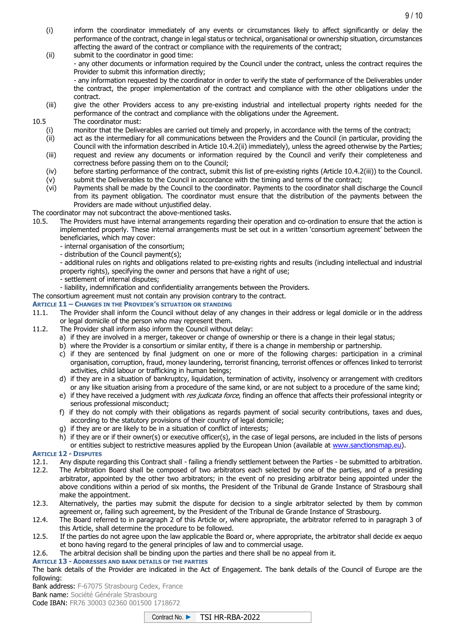- (i) inform the coordinator immediately of any events or circumstances likely to affect significantly or delay the performance of the contract, change in legal status or technical, organisational or ownership situation, circumstances affecting the award of the contract or compliance with the requirements of the contract;
- (ii) submit to the coordinator in good time: - any other documents or information required by the Council under the contract, unless the contract requires the Provider to submit this information directly; - any information requested by the coordinator in order to verify the state of performance of the Deliverables under the contract, the proper implementation of the contract and compliance with the other obligations under the contract.
- (iii) give the other Providers access to any pre-existing industrial and intellectual property rights needed for the performance of the contract and compliance with the obligations under the Agreement.

10.5 The coordinator must:

- (i) monitor that the Deliverables are carried out timely and properly, in accordance with the terms of the contract;
- (ii) act as the intermediary for all communications between the Providers and the Council (in particular, providing the Council with the information described in Article 10.4.2(ii) immediately), unless the agreed otherwise by the Parties;
- (iii) request and review any documents or information required by the Council and verify their completeness and correctness before passing them on to the Council;
- (iv) before starting performance of the contract, submit this list of pre-existing rights (Article 10.4.2(iii)) to the Council.
- (v) submit the Deliverables to the Council in accordance with the timing and terms of the contract;
- (vi) Payments shall be made by the Council to the coordinator. Payments to the coordinator shall discharge the Council from its payment obligation. The coordinator must ensure that the distribution of the payments between the Providers are made without unjustified delay.

# The coordinator may not subcontract the above-mentioned tasks.<br>10.5. The Providers must have internal arrangements regarding

- The Providers must have internal arrangements regarding their operation and co-ordination to ensure that the action is implemented properly. These internal arrangements must be set out in a written 'consortium agreement' between the beneficiaries, which may cover:
	- internal organisation of the consortium;
	- distribution of the Council payment(s);

- additional rules on rights and obligations related to pre-existing rights and results (including intellectual and industrial property rights), specifying the owner and persons that have a right of use;

- settlement of internal disputes;
- liability, indemnification and confidentiality arrangements between the Providers.
- The consortium agreement must not contain any provision contrary to the contract.

#### **ARTICLE 11 – CHANGES IN THE PROVIDER'S SITUATION OR STANDING**

- 11.1. The Provider shall inform the Council without delay of any changes in their address or legal domicile or in the address or legal domicile of the person who may represent them.
- 11.2. The Provider shall inform also inform the Council without delay:
	- a) if they are involved in a merger, takeover or change of ownership or there is a change in their legal status;
	- b) where the Provider is a consortium or similar entity, if there is a change in membership or partnership.
	- c) if they are sentenced by final judgment on one or more of the following charges: participation in a criminal organisation, corruption, fraud, money laundering, terrorist financing, terrorist offences or offences linked to terrorist activities, child labour or trafficking in human beings;
	- d) if they are in a situation of bankruptcy, liquidation, termination of activity, insolvency or arrangement with creditors or any like situation arising from a procedure of the same kind, or are not subject to a procedure of the same kind;
	- e) if they have received a judgment with res judicata force, finding an offence that affects their professional integrity or serious professional misconduct;
	- f) if they do not comply with their obligations as regards payment of social security contributions, taxes and dues, according to the statutory provisions of their country of legal domicile;
	- g) if they are or are likely to be in a situation of conflict of interests;
	- h) if they are or if their owner(s) or executive officer(s), in the case of legal persons, are included in the lists of persons or entities subject to restrictive measures applied by the European Union (available at [www.sanctionsmap.eu\)](http://www.sanctionsmap.eu/).

## **ARTICLE 12 - DISPUTES**

- 12.1. Any dispute regarding this Contract shall failing a friendly settlement between the Parties be submitted to arbitration.
- 12.2. The Arbitration Board shall be composed of two arbitrators each selected by one of the parties, and of a presiding arbitrator, appointed by the other two arbitrators; in the event of no presiding arbitrator being appointed under the above conditions within a period of six months, the President of the Tribunal de Grande Instance of Strasbourg shall make the appointment.
- 12.3. Alternatively, the parties may submit the dispute for decision to a single arbitrator selected by them by common agreement or, failing such agreement, by the President of the Tribunal de Grande Instance of Strasbourg.
- 12.4. The Board referred to in paragraph 2 of this Article or, where appropriate, the arbitrator referred to in paragraph 3 of this Article, shall determine the procedure to be followed.
- 12.5. If the parties do not agree upon the law applicable the Board or, where appropriate, the arbitrator shall decide ex aequo et bono having regard to the general principles of law and to commercial usage.
- 12.6. The arbitral decision shall be binding upon the parties and there shall be no appeal from it.

#### **ARTICLE 13 - ADDRESSES AND BANK DETAILS OF THE PARTIES**

The bank details of the Provider are indicated in the Act of Engagement. The bank details of the Council of Europe are the following:

Bank address: F-67075 Strasbourg Cedex, France Bank name: Société Générale Strasbourg

Code IBAN: FR76 30003 02360 001500 1718672